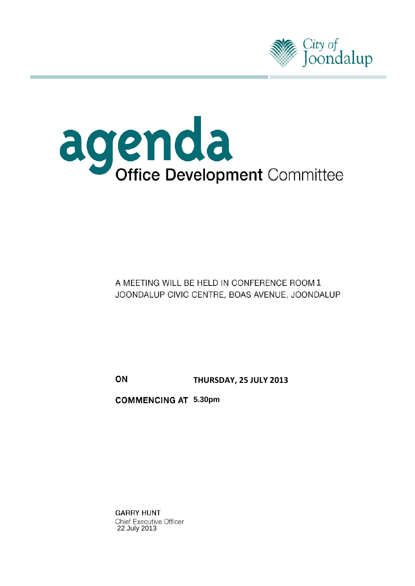



# A MEETING WILL BE HELD IN CONFERENCE ROOM 1 JOONDALUP CIVIC CENTRE, BOAS AVENUE, JOONDALUP

ON **THURSDAY, 25 JULY 2013**

**5.30pm**

**GARRY HUNT** Chief Executive Officer 22 July 2013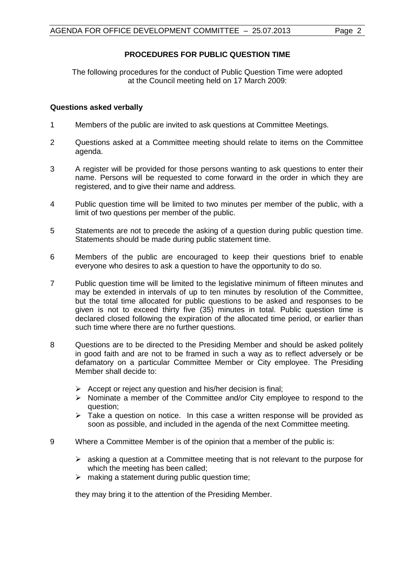## **PROCEDURES FOR PUBLIC QUESTION TIME**

The following procedures for the conduct of Public Question Time were adopted at the Council meeting held on 17 March 2009:

### **Questions asked verbally**

- 1 Members of the public are invited to ask questions at Committee Meetings.
- 2 Questions asked at a Committee meeting should relate to items on the Committee agenda.
- 3 A register will be provided for those persons wanting to ask questions to enter their name. Persons will be requested to come forward in the order in which they are registered, and to give their name and address.
- 4 Public question time will be limited to two minutes per member of the public, with a limit of two questions per member of the public.
- 5 Statements are not to precede the asking of a question during public question time. Statements should be made during public statement time.
- 6 Members of the public are encouraged to keep their questions brief to enable everyone who desires to ask a question to have the opportunity to do so.
- 7 Public question time will be limited to the legislative minimum of fifteen minutes and may be extended in intervals of up to ten minutes by resolution of the Committee, but the total time allocated for public questions to be asked and responses to be given is not to exceed thirty five (35) minutes in total. Public question time is declared closed following the expiration of the allocated time period, or earlier than such time where there are no further questions.
- 8 Questions are to be directed to the Presiding Member and should be asked politely in good faith and are not to be framed in such a way as to reflect adversely or be defamatory on a particular Committee Member or City employee. The Presiding Member shall decide to:
	- $\triangleright$  Accept or reject any question and his/her decision is final;
	- $\triangleright$  Nominate a member of the Committee and/or City employee to respond to the question;
	- $\triangleright$  Take a question on notice. In this case a written response will be provided as soon as possible, and included in the agenda of the next Committee meeting.
- 9 Where a Committee Member is of the opinion that a member of the public is:
	- $\triangleright$  asking a question at a Committee meeting that is not relevant to the purpose for which the meeting has been called;
	- $\triangleright$  making a statement during public question time:

they may bring it to the attention of the Presiding Member.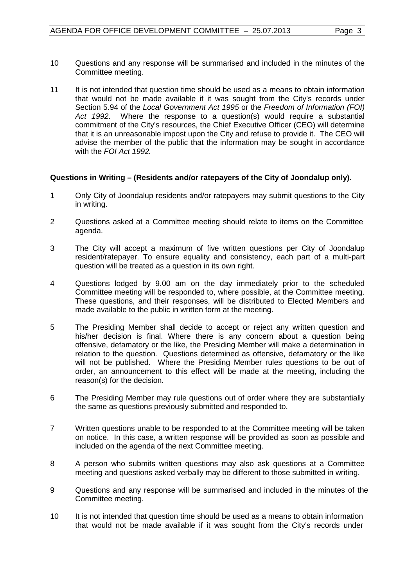- 10 Questions and any response will be summarised and included in the minutes of the Committee meeting.
- 11 It is not intended that question time should be used as a means to obtain information that would not be made available if it was sought from the City's records under Section 5.94 of the *Local Government Act 1995* or the *Freedom of Information (FOI) Act 1992*. Where the response to a question(s) would require a substantial commitment of the City's resources, the Chief Executive Officer (CEO) will determine that it is an unreasonable impost upon the City and refuse to provide it. The CEO will advise the member of the public that the information may be sought in accordance with the *FOI Act 1992.*

## **Questions in Writing – (Residents and/or ratepayers of the City of Joondalup only).**

- 1 Only City of Joondalup residents and/or ratepayers may submit questions to the City in writing.
- 2 Questions asked at a Committee meeting should relate to items on the Committee agenda.
- 3 The City will accept a maximum of five written questions per City of Joondalup resident/ratepayer. To ensure equality and consistency, each part of a multi-part question will be treated as a question in its own right.
- 4 Questions lodged by 9.00 am on the day immediately prior to the scheduled Committee meeting will be responded to, where possible, at the Committee meeting. These questions, and their responses, will be distributed to Elected Members and made available to the public in written form at the meeting.
- 5 The Presiding Member shall decide to accept or reject any written question and his/her decision is final. Where there is any concern about a question being offensive, defamatory or the like, the Presiding Member will make a determination in relation to the question. Questions determined as offensive, defamatory or the like will not be published. Where the Presiding Member rules questions to be out of order, an announcement to this effect will be made at the meeting, including the reason(s) for the decision.
- 6 The Presiding Member may rule questions out of order where they are substantially the same as questions previously submitted and responded to.
- 7 Written questions unable to be responded to at the Committee meeting will be taken on notice. In this case, a written response will be provided as soon as possible and included on the agenda of the next Committee meeting.
- 8 A person who submits written questions may also ask questions at a Committee meeting and questions asked verbally may be different to those submitted in writing.
- 9 Questions and any response will be summarised and included in the minutes of the Committee meeting.
- 10 It is not intended that question time should be used as a means to obtain information that would not be made available if it was sought from the City's records under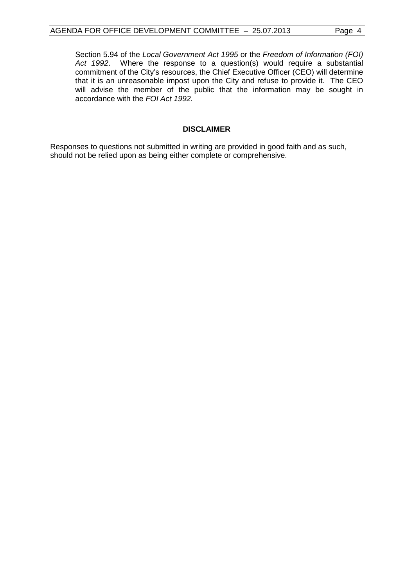Section 5.94 of the *Local Government Act 1995* or the *Freedom of Information (FOI) Act 1992*. Where the response to a question(s) would require a substantial commitment of the City's resources, the Chief Executive Officer (CEO) will determine that it is an unreasonable impost upon the City and refuse to provide it. The CEO will advise the member of the public that the information may be sought in accordance with the *FOI Act 1992.*

#### **DISCLAIMER**

Responses to questions not submitted in writing are provided in good faith and as such, should not be relied upon as being either complete or comprehensive.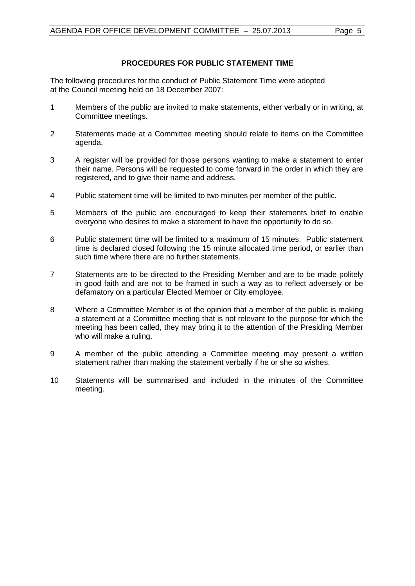## **PROCEDURES FOR PUBLIC STATEMENT TIME**

The following procedures for the conduct of Public Statement Time were adopted at the Council meeting held on 18 December 2007:

- 1 Members of the public are invited to make statements, either verbally or in writing, at Committee meetings.
- 2 Statements made at a Committee meeting should relate to items on the Committee agenda.
- 3 A register will be provided for those persons wanting to make a statement to enter their name. Persons will be requested to come forward in the order in which they are registered, and to give their name and address.
- 4 Public statement time will be limited to two minutes per member of the public.
- 5 Members of the public are encouraged to keep their statements brief to enable everyone who desires to make a statement to have the opportunity to do so.
- 6 Public statement time will be limited to a maximum of 15 minutes. Public statement time is declared closed following the 15 minute allocated time period, or earlier than such time where there are no further statements.
- 7 Statements are to be directed to the Presiding Member and are to be made politely in good faith and are not to be framed in such a way as to reflect adversely or be defamatory on a particular Elected Member or City employee.
- 8 Where a Committee Member is of the opinion that a member of the public is making a statement at a Committee meeting that is not relevant to the purpose for which the meeting has been called, they may bring it to the attention of the Presiding Member who will make a ruling.
- 9 A member of the public attending a Committee meeting may present a written statement rather than making the statement verbally if he or she so wishes.
- 10 Statements will be summarised and included in the minutes of the Committee meeting.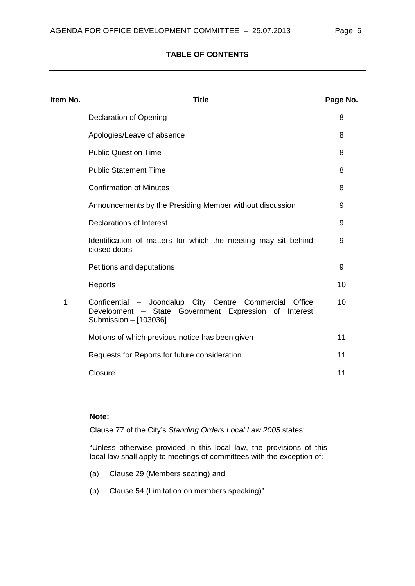## **TABLE OF CONTENTS**

| Item No. | <b>Title</b>                                                                                                                             | Page No. |
|----------|------------------------------------------------------------------------------------------------------------------------------------------|----------|
|          | <b>Declaration of Opening</b>                                                                                                            | 8        |
|          | Apologies/Leave of absence                                                                                                               | 8        |
|          | <b>Public Question Time</b>                                                                                                              | 8        |
|          | <b>Public Statement Time</b>                                                                                                             | 8        |
|          | <b>Confirmation of Minutes</b>                                                                                                           | 8        |
|          | Announcements by the Presiding Member without discussion                                                                                 | 9        |
|          | Declarations of Interest                                                                                                                 | 9        |
|          | Identification of matters for which the meeting may sit behind<br>closed doors                                                           | 9        |
|          | Petitions and deputations                                                                                                                | 9        |
|          | Reports                                                                                                                                  | 10       |
| 1        | Confidential - Joondalup City Centre Commercial Office<br>Development - State Government Expression of Interest<br>Submission - [103036] | 10       |
|          | Motions of which previous notice has been given                                                                                          | 11       |
|          | Requests for Reports for future consideration                                                                                            | 11       |
|          | Closure                                                                                                                                  | 11       |

### **Note:**

Clause 77 of the City's *Standing Orders Local Law 2005* states:

"Unless otherwise provided in this local law, the provisions of this local law shall apply to meetings of committees with the exception of:

- (a) Clause 29 (Members seating) and
- (b) Clause 54 (Limitation on members speaking)"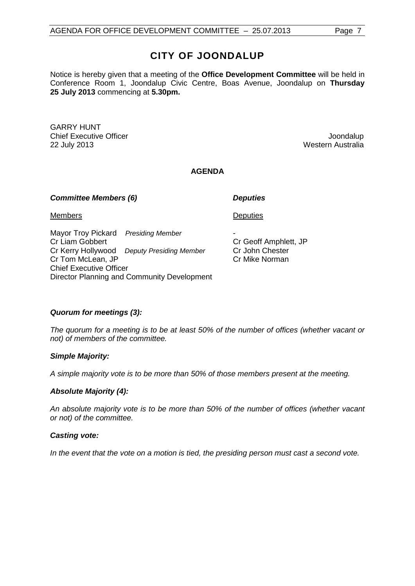# **CITY OF JOONDALUP**

Notice is hereby given that a meeting of the **Office Development Committee** will be held in Conference Room 1, Joondalup Civic Centre, Boas Avenue, Joondalup on **Thursday 25 July 2013** commencing at **5.30pm.**

GARRY HUNT **Chief Executive Officer Chief Executive Officer According to the Chief Executive Officer Chief Executive Officer** 22 July 2013 Western Australia

### **AGENDA**

#### *Committee Members (6) Deputies*

Members

Mayor Troy Pickard *Presiding Member* Cr Liam Gobbert Cr Kerry Hollywood *Deputy Presiding Member* Cr Tom McLean, JP Chief Executive Officer Director Planning and Community Development **Deputies** 

- Cr Geoff Amphlett, JP Cr John Chester Cr Mike Norman

## *Quorum for meetings (3):*

*The quorum for a meeting is to be at least 50% of the number of offices (whether vacant or not) of members of the committee.*

#### *Simple Majority:*

*A simple majority vote is to be more than 50% of those members present at the meeting.*

#### *Absolute Majority (4):*

*An absolute majority vote is to be more than 50% of the number of offices (whether vacant or not) of the committee.*

#### *Casting vote:*

*In the event that the vote on a motion is tied, the presiding person must cast a second vote.*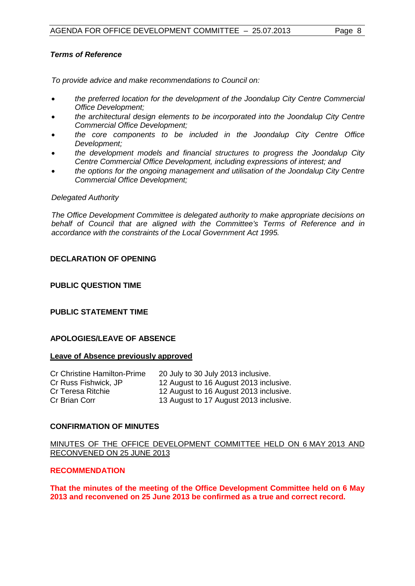## *Terms of Reference*

*To provide advice and make recommendations to Council on:*

- *the preferred location for the development of the Joondalup City Centre Commercial Office Development;*
- *the architectural design elements to be incorporated into the Joondalup City Centre Commercial Office Development;*
- *the core components to be included in the Joondalup City Centre Office Development;*
- *the development models and financial structures to progress the Joondalup City Centre Commercial Office Development, including expressions of interest; and*
- *the options for the ongoing management and utilisation of the Joondalup City Centre Commercial Office Development;*

#### *Delegated Authority*

*The Office Development Committee is delegated authority to make appropriate decisions on behalf of Council that are aligned with the Committee's Terms of Reference and in accordance with the constraints of the Local Government Act 1995.*

## <span id="page-7-0"></span>**DECLARATION OF OPENING**

### <span id="page-7-2"></span>**PUBLIC QUESTION TIME**

# <span id="page-7-3"></span>**PUBLIC STATEMENT TIME**

#### <span id="page-7-1"></span>**APOLOGIES/LEAVE OF ABSENCE**

#### **Leave of Absence previously approved**

| <b>Cr Christine Hamilton-Prime</b> | 20 July to 30 July 2013 inclusive.     |
|------------------------------------|----------------------------------------|
| Cr Russ Fishwick, JP               | 12 August to 16 August 2013 inclusive. |
| Cr Teresa Ritchie                  | 12 August to 16 August 2013 inclusive. |
| Cr Brian Corr                      | 13 August to 17 August 2013 inclusive. |

#### <span id="page-7-4"></span>**CONFIRMATION OF MINUTES**

#### MINUTES OF THE OFFICE DEVELOPMENT COMMITTEE HELD ON 6 MAY 2013 AND RECONVENED ON 25 JUNE 2013

#### **RECOMMENDATION**

**That the minutes of the meeting of the Office Development Committee held on 6 May 2013 and reconvened on 25 June 2013 be confirmed as a true and correct record.**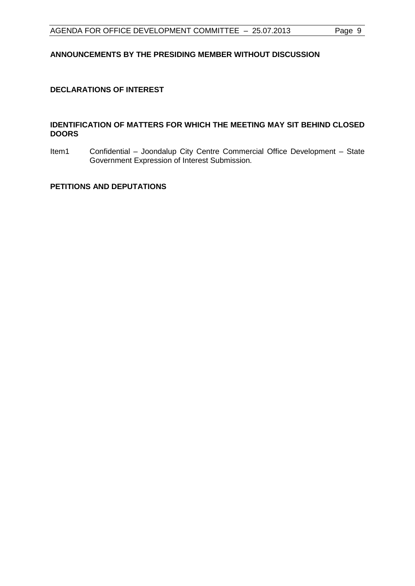## <span id="page-8-0"></span>**ANNOUNCEMENTS BY THE PRESIDING MEMBER WITHOUT DISCUSSION**

## <span id="page-8-1"></span>**DECLARATIONS OF INTEREST**

#### <span id="page-8-2"></span>**IDENTIFICATION OF MATTERS FOR WHICH THE MEETING MAY SIT BEHIND CLOSED DOORS**

Item1 Confidential – Joondalup City Centre Commercial Office Development – State Government Expression of Interest Submission.

#### <span id="page-8-3"></span>**PETITIONS AND DEPUTATIONS**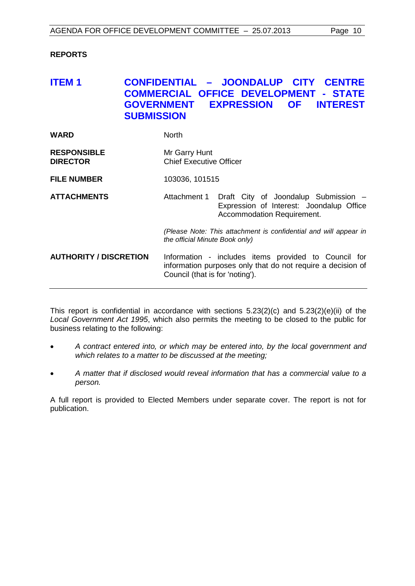## <span id="page-9-0"></span>**REPORTS**

# <span id="page-9-1"></span>**ITEM 1 CONFIDENTIAL – JOONDALUP CITY CENTRE COMMERCIAL OFFICE DEVELOPMENT - STATE GOVERNMENT EXPRESSION OF INTEREST SUBMISSION**

| WARD                                  | <b>North</b>                                      |
|---------------------------------------|---------------------------------------------------|
| <b>RESPONSIBLE</b><br><b>DIRECTOR</b> | Mr Garry Hunt<br><b>Chief Executive Officer</b>   |
| <b>FILE NUMBER</b>                    | 103036, 101515                                    |
| <b>ATTACHMENTS</b>                    | Attachment 1 Draft City of Joondalup Submission - |

Expression of Interest: Joondalup Office Accommodation Requirement.

> *(Please Note: This attachment is confidential and will appear in the official Minute Book only)*

**AUTHORITY / DISCRETION** Information - includes items provided to Council for information purposes only that do not require a decision of Council (that is for 'noting').

This report is confidential in accordance with sections 5.23(2)(c) and 5.23(2)(e)(ii) of the *Local Government Act 1995*, which also permits the meeting to be closed to the public for business relating to the following:

- *A contract entered into, or which may be entered into, by the local government and which relates to a matter to be discussed at the meeting;*
- *A matter that if disclosed would reveal information that has a commercial value to a person.*

A full report is provided to Elected Members under separate cover. The report is not for publication.